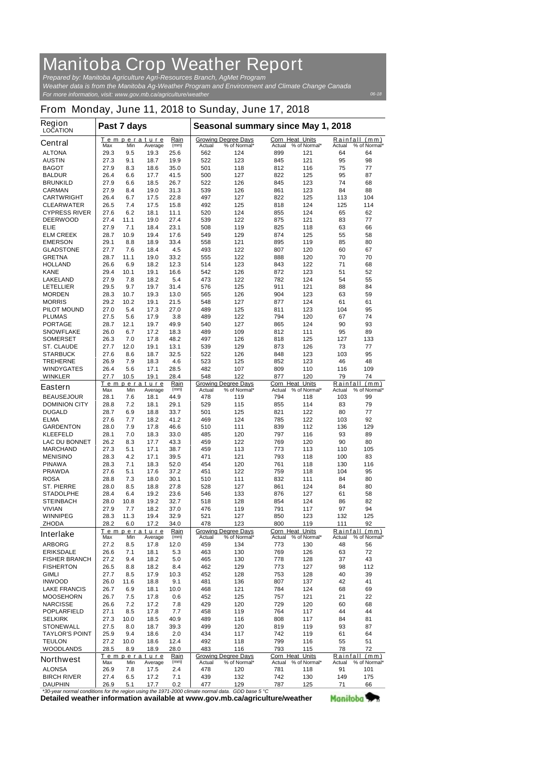## **Manitoba Crop Weather Report**

*For more information, visit: www.gov.mb.ca/agriculture/weather Prepared by: Manitoba Agriculture Agri-Resources Branch, AgMet Program Weather data is from the Manitoba Ag-Weather Program and Environment and Climate Change Canada*

## **From Monday, June 11, 2018 to Sunday, June 17, 2018**

| <b>Region</b><br><b>LOCATION</b>                                                  | Past 7 days |      |                               |              | Seasonal summary since May 1, 2018 |                                            |                                  |                     |          |                               |
|-----------------------------------------------------------------------------------|-------------|------|-------------------------------|--------------|------------------------------------|--------------------------------------------|----------------------------------|---------------------|----------|-------------------------------|
| <b>Central</b>                                                                    | Max         | Min  | <b>Temperature</b><br>Average | Rain<br>(mm) | Actual                             | <b>Growing Degree Days</b><br>% of Normal* | <b>Corn Heat Units</b><br>Actual | % of Normal*        | Actual   | Rainfall (mm)<br>% of Normal* |
| <b>ALTONA</b>                                                                     | 29.3        | 9.5  | 19.3                          | 25.6         | 562                                | 124                                        | 899                              | 121                 | 64       | 64                            |
| <b>AUSTIN</b>                                                                     | 27.3        | 9.1  | 18.7                          | 19.9         | 522                                | 123                                        | 845                              | 121                 | 95       | 98                            |
| <b>BAGOT</b>                                                                      | 27.9        | 8.3  | 18.6                          | 35.0         | 501                                | 118                                        | 812                              | 116                 | 75       | 77                            |
| <b>BALDUR</b>                                                                     | 26.4        | 6.6  | 17.7                          | 41.5         | 500                                | 127                                        | 822                              | 125                 | 95       | 87                            |
| <b>BRUNKILD</b>                                                                   | 27.9        | 6.6  | 18.5                          | 26.7         | 522                                | 126                                        | 845                              | 123                 | 74       | 68                            |
| <b>CARMAN</b>                                                                     | 27.9        | 8.4  | 19.0                          | 31.3         | 539                                | 126                                        | 861                              | 123                 | 84       | 88                            |
| <b>CARTWRIGHT</b>                                                                 | 26.4        | 6.7  | 17.5                          | 22.8         | 497                                | 127                                        | 822                              | 125                 | 113      | 104                           |
| <b>CLEARWATER</b>                                                                 | 26.5        | 7.4  | 17.5                          | 15.8         | 492                                | 125                                        | 818                              | 124                 | 125      | 114                           |
| <b>CYPRESS RIVER</b>                                                              | 27.6        | 6.2  | 18.1                          | 11.1         | 520                                | 124                                        | 855                              | 124                 | 65       | 62                            |
| <b>DEERWOOD</b>                                                                   | 27.4        | 11.1 | 19.0                          | 27.4         | 539                                | 122                                        | 875                              | 121                 | 83       | 77                            |
| <b>ELIE</b>                                                                       | 27.9        | 7.1  | 18.4                          | 23.1         | 508                                | 119                                        | 825                              | 118                 | 63       | 66                            |
| <b>ELM CREEK</b>                                                                  | 28.7        | 10.9 | 19.4                          | 17.6         | 549                                | 129                                        | 874                              | 125                 | 55       | 58                            |
| <b>EMERSON</b>                                                                    | 29.1        | 8.8  | 18.9                          | 33.4         | 558                                | 121                                        | 895                              | 119                 | 85       | 80                            |
| <b>GLADSTONE</b>                                                                  | 27.7        | 7.6  | 18.4                          | 4.5          | 493                                | 122                                        | 807                              | 120                 | 60       | 67                            |
| <b>GRETNA</b>                                                                     | 28.7        | 11.1 | 19.0                          | 33.2         | 555                                | 122                                        | 888                              | 120                 | 70       | 70                            |
| <b>HOLLAND</b>                                                                    | 26.6        | 6.9  | 18.2                          | 12.3         | 514                                | 123                                        | 843                              | 122                 | 71       | 68                            |
| <b>KANE</b>                                                                       | 29.4        | 10.1 | 19.1                          | 16.6         | 542                                | 126                                        | 872                              | 123                 | 51       | 52                            |
| <b>LAKELAND</b>                                                                   | 27.9        | 7.8  | 18.2                          | 5.4          | 473                                | 122                                        | 782                              | 124                 | 54       | 55                            |
| <b>LETELLIER</b>                                                                  | 29.5        | 9.7  | 19.7                          | 31.4         | 576                                | 125                                        | 911                              | 121                 | 88       | 84                            |
| <b>MORDEN</b>                                                                     | 28.3        | 10.7 | 19.3                          | 13.0         | 565                                | 126                                        | 904                              | 123                 | 63       | 59                            |
| <b>MORRIS</b>                                                                     | 29.2        | 10.2 | 19.1                          | 21.5         | 548                                | 127                                        | 877                              | 124                 | 61       | 61                            |
| <b>PILOT MOUND</b>                                                                | 27.0        | 5.4  | 17.3                          | 27.0         | 489                                | 125                                        | 811                              | 123                 | 104      | 95                            |
| <b>PLUMAS</b>                                                                     | 27.5        | 5.6  | 17.9                          | 3.8          | 489                                | 122                                        | 794                              | 120                 | 67       | 74                            |
| <b>PORTAGE</b>                                                                    | 28.7        | 12.1 | 19.7                          | 49.9         | 540                                | 127                                        | 865                              | 124                 | 90       | 93                            |
| <b>SNOWFLAKE</b>                                                                  | 26.0        | 6.7  | 17.2                          | 18.3         | 489                                | 109                                        | 812                              | 111                 | 95       | 89                            |
| <b>SOMERSET</b>                                                                   | 26.3        | 7.0  | 17.8                          | 48.2         | 497                                | 126                                        | 818                              | 125                 | 127      | 133                           |
| <b>ST. CLAUDE</b>                                                                 | 27.7        | 12.0 | 19.1                          | 13.1         | 539                                | 129                                        | 873                              | 126                 | 73       | 77                            |
| <b>STARBUCK</b>                                                                   | 27.6        | 8.6  | 18.7                          | 32.5         | 522                                | 126                                        | 848                              | 123                 | 103      | 95                            |
| <b>TREHERNE</b>                                                                   | 26.9        | 7.9  | 18.3                          | 4.6          | 523                                | 125                                        | 852                              | 123                 | 46       | 48                            |
| <b>WINDYGATES</b>                                                                 | 26.4        | 5.6  | 17.1                          | 28.5         | 482                                | 107                                        | 809                              | 110                 | 116      | 109                           |
| <b>WINKLER</b>                                                                    | 27.7        | 10.5 | 19.1                          | 28.4         | 548                                | 122                                        | 877                              | 120                 | 79       | 74                            |
|                                                                                   |             |      | Temperature                   | Rain         |                                    | <b>Growing Degree Days</b>                 | Corn Heat Units                  |                     | Rainfall | (mm)                          |
| <b>Eastern</b>                                                                    | Max         | Min  | Average                       | (mm)         | Actual                             | % of Normal*                               |                                  | Actual % of Normal* | Actual   | % of Normal*                  |
| <b>BEAUSEJOUR</b>                                                                 | 28.1        | 7.6  | 18.1                          | 44.9         | 478                                | 119                                        | 794                              | 118                 | 103      | 99                            |
| <b>DOMINION CITY</b>                                                              | 28.8        | 7.2  | 18.1                          | 29.1         | 529                                | 115                                        | 855                              | 114                 | 83       | 79                            |
| <b>DUGALD</b>                                                                     | 28.7        | 6.9  | 18.8                          | 33.7         | 501                                | 125                                        | 821                              | 122                 | 80       | 77                            |
| <b>ELMA</b>                                                                       | 27.6        | 7.7  | 18.2                          | 41.2         | 469                                | 124                                        | 785                              | 122                 | 103      | 92                            |
| <b>GARDENTON</b>                                                                  | 28.0        | 7.9  | 17.8                          | 46.6         | 510                                | 111                                        | 839                              | 112                 | 136      | 129                           |
| <b>KLEEFELD</b>                                                                   | 28.1        | 7.0  | 18.3                          | 33.0         | 485                                | 120                                        | 797                              | 116                 | 93       | 89                            |
| <b>LAC DU BONNET</b>                                                              | 26.2        | 8.3  | 17.7                          | 43.3         | 459                                | 122                                        | 769                              | 120                 | 90       | 80                            |
| <b>MARCHAND</b>                                                                   | 27.3        | 5.1  | 17.1                          | 38.7         | 459                                | 113                                        | 773                              | 113                 | 110      | 105                           |
| <b>MENISINO</b>                                                                   | 28.3        | 4.2  | 17.1                          | 39.5         | 471                                | 121                                        | 793                              | 118                 | 100      | 83                            |
| <b>PINAWA</b>                                                                     | 28.3        | 7.1  | 18.3                          | 52.0         | 454                                | 120                                        | 761                              | 118                 | 130      | 116                           |
| <b>PRAWDA</b>                                                                     | 27.6        | 5.1  | 17.6                          | 37.2         | 451                                | 122                                        | 759                              | 118                 | 104      | 95                            |
| <b>ROSA</b>                                                                       | 28.8        | 7.3  | 18.0                          | 30.1         | 510                                | 111                                        | 832                              | 111                 | 84       | 80                            |
| <b>ST. PIERRE</b>                                                                 | 28.0        | 8.5  | 18.8                          | 27.8         | 528                                | 127                                        | 861                              | 124                 | 84       | 80                            |
| <b>STADOLPHE</b>                                                                  | 28.4        | 6.4  | 19.2                          | 23.6         | 546                                | 133                                        | 876                              | 127                 | 61       | 58                            |
| <b>STEINBACH</b>                                                                  | 28.0        | 10.8 | 19.2                          | 32.7         | 518                                | 128                                        | 854                              | 124                 | 86       | 82                            |
| <b>VIVIAN</b>                                                                     | 27.9        | 7.7  | 18.2                          | 37.0         | 476                                | 119                                        | 791                              | 117                 | 97       | 94                            |
| <b>WINNIPEG</b>                                                                   | 28.3        | 11.3 | 19.4                          | 32.9         | 521                                | 127                                        | 850                              | 123                 | 132      | 125                           |
| <b>ZHODA</b>                                                                      | 28.2        | 6.0  | 17.2                          | 34.0         | 478                                | 123                                        | 800                              | 119                 | 111      | 92                            |
|                                                                                   |             |      | Temperature                   | Rain         |                                    | <b>Growing Degree Days</b>                 | Corn Heat Units                  |                     | Rainfall | (mm)                          |
| <b>Interlake</b>                                                                  | Max         | Min  | Average                       | (mm)         | Actual                             | % of Normal*                               | Actual                           | % of Normal*        | Actual   | % of Normal*                  |
| <b>ARBORG</b>                                                                     | 27.2        | 8.5  | 17.8                          | 12.0         | 459                                | 134                                        | 773                              | 130                 | 48       | 56                            |
| <b>ERIKSDALE</b>                                                                  | 26.6        | 7.1  | 18.1                          | 5.3          | 463                                | 130                                        | 769                              | 126                 | 63       | 72                            |
| <b>FISHER BRANCH</b>                                                              | 27.2        | 9.4  | 18.2                          | 5.0          | 465                                | 130                                        | 778                              | 128                 | 37       | 43                            |
| <b>FISHERTON</b>                                                                  | 26.5        | 8.8  | 18.2                          | 8.4          | 462                                | 129                                        | 773                              | 127                 | 98       | 112                           |
| <b>GIMLI</b>                                                                      | 27.7        | 8.5  | 17.9                          | 10.3         | 452                                | 128                                        | 753                              | 128                 | 40       | 39                            |
| <b>INWOOD</b>                                                                     | 26.0        | 11.6 | 18.8                          | 9.1          | 481                                | 136                                        | 807                              | 137                 | 42       | 41                            |
| <b>LAKE FRANCIS</b>                                                               | 26.7        | 6.9  | 18.1                          | 10.0         | 468                                | 121                                        | 784                              | 124                 | 68       | 69                            |
| <b>MOOSEHORN</b>                                                                  | 26.7        | 7.5  | 17.8                          | 0.6          | 452                                | 125                                        | 757                              | 121                 | 21       | 22                            |
| <b>NARCISSE</b>                                                                   | 26.6        | 7.2  | 17.2                          | 7.8          | 429                                | 120                                        | 729                              | 120                 | 60       | 68                            |
| <b>POPLARFIELD</b>                                                                | 27.1        | 8.5  | 17.8                          | 7.7          | 458                                | 119                                        | 764                              | 117                 | 44       | 44                            |
| <b>SELKIRK</b>                                                                    | 27.3        | 10.0 | 18.5                          | 40.9         | 489                                | 116                                        | 808                              | 117                 | 84       | 81                            |
| <b>STONEWALL</b>                                                                  | 27.5        | 8.0  | 18.7                          | 39.3         | 499                                | 120                                        | 819                              | 119                 | 93       | 87                            |
| <b>TAYLOR'S POINT</b>                                                             | 25.9        | 9.4  | 18.6                          | 2.0          | 434                                | 117                                        | 742                              | 119                 | 61       | 64                            |
| <b>TEULON</b>                                                                     | 27.2        | 10.0 | 18.6                          | 12.4         | 492                                | 118                                        | 799                              | 116                 | 55       | 51                            |
| <b>WOODLANDS</b>                                                                  | 28.5        | 8.9  | 18.9                          | 28.0         | 483                                | 116                                        | 793                              | 115                 | 78       | 72                            |
|                                                                                   |             |      | <u>Temperature</u>            | Rain         |                                    | <b>Growing Degree Days</b>                 | Corn Heat Units                  |                     | Rainfall | (mm)                          |
| <b>Northwest</b>                                                                  | Max         | Min  | Average                       | (mm)         | Actual                             | % of Normal*                               |                                  | Actual % of Normal* | Actual   | % of Normal*                  |
| <b>ALONSA</b>                                                                     | 26.9        | 7.8  | 17.5                          | 2.4          | 478                                | 120                                        | 781                              | 118                 | 91       | 101                           |
| <b>BIRCH RIVER</b>                                                                | 27.4        | 6.5  | 17.2                          | 7.1          | 439                                | 132                                        | 742                              | 130                 | 149      | 175                           |
| <b>DAUPHIN</b>                                                                    | 26.9        | 5.1  | 17.7                          | 0.2          | 477                                | 129                                        | 787                              | 125                 | 71       | 66                            |
| *30-year normal conditions for the region using the 1971-2000 climate normal data |             |      |                               |              |                                    | $GDD$ hase 5 °C.                           |                                  |                     |          |                               |

**Detailed weather information available at www.gov.mb.ca/agriculture/weather** *\*30-year normal conditions for the region using the 1971-2000 climate normal data. GDD base 5 °C* Manitoba<sup>y</sup>